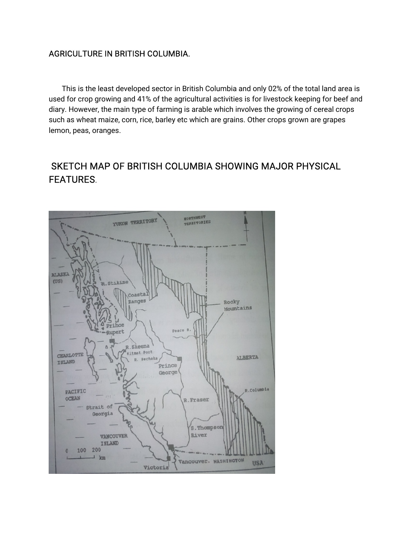## AGRICULTURE IN BRITISH COLUMBIA.

This is the least developed sector in British Columbia and only 02% of the total land area is used for crop growing and 41% of the agricultural activities is for livestock keeping for beef and diary. However, the main type of farming is arable which involves the growing of cereal crops such as wheat maize, corn, rice, barley etc which are grains. Other crops grown are grapes lemon, peas, oranges.

# SKETCH MAP OF BRITISH COLUMBIA SHOWING MAJOR PHYSICAL FEATURES.

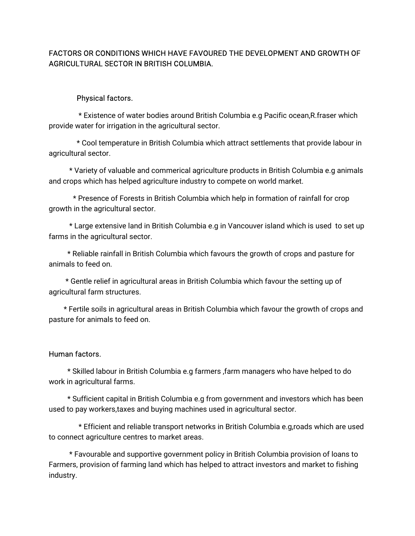## FACTORS OR CONDITIONS WHICH HAVE FAVOURED THE DEVELOPMENT AND GROWTH OF AGRICULTURAL SECTOR IN BRITISH COLUMBIA.

### Physical factors.

\* Existence of water bodies around British Columbia e.g Pacific ocean, R. fraser which provide water for irrigation in the agricultural sector.

\* Cool temperature in British Columbia which attract settlements that provide labour in agricultural sector.

\* Variety of valuable and commerical agriculture products in British Columbia e.g animals and crops which has helped agriculture industry to compete on world market.

\* Presence of Forests in British Columbia which help in formation of rainfall for crop growth in the agricultural sector.

\* Large extensive land in British Columbia e.g in Vancouver island which is used to set up farms in the agricultural sector.

\* Reliable rainfall in British Columbia which favours the growth of crops and pasture for animals to feed on.

\* Gentle relief in agricultural areas in British Columbia which favour the setting up of agricultural farm structures.

\* Fertile soils in agricultural areas in British Columbia which favour the growth of crops and pasture for animals to feed on.

#### Human factors.

\* Skilled labour in British Columbia e.g farmers, farm managers who have helped to do work in agricultural farms.

\* Sufficient capital in British Columbia e.g from government and investors which has been used to pay workers,taxes and buying machines used in agricultural sector.

\* Efficient and reliable transport networks in British Columbia e.g,roads which are used to connect agriculture centres to market areas.

\* Favourable and supportive government policy in British Columbia provision of loans to Farmers, provision of farming land which has helped to attract investors and market to fishing industry.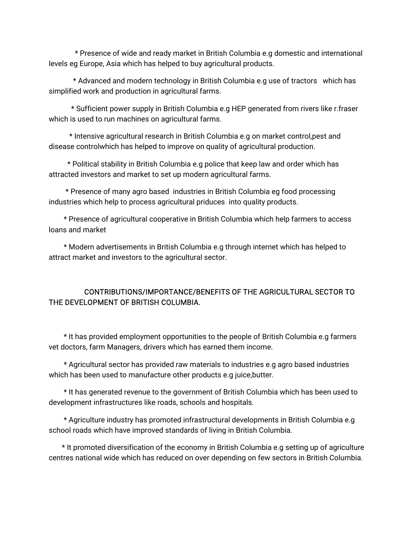\* Presence of wide and ready market in British Columbia e.g domestic and international levels eg Europe, Asia which has helped to buy agricultural products.

\* Advanced and modern technology in British Columbia e.g use of tractors which has simplified work and production in agricultural farms.

\* Sufficient power supply in British Columbia e.g HEP generated from rivers like r.fraser which is used to run machines on agricultural farms.

\* Intensive agricultural research in British Columbia e.g on market control,pest and disease controlwhich has helped to improve on quality of agricultural production.

\* Political stability in British Columbia e.g police that keep law and order which has attracted investors and market to set up modern agricultural farms.

\* Presence of many agro based industries in British Columbia eg food processing industries which help to process agricultural priduces into quality products.

\* Presence of agricultural cooperative in British Columbia which help farmers to access loans and market

\* Modern advertisements in British Columbia e.g through internet which has helped to attract market and investors to the agricultural sector.

## CONTRIBUTIONS/IMPORTANCE/BENEFITSOFTHEAGRICULTURALSECTORTO THE DEVELOPMENT OF BRITISH COLUMBIA.

\* It has provided employment opportunities to the people of British Columbia e.g farmers vet doctors, farm Managers, drivers which has earned them income.

\* Agricultural sector has provided raw materials to industries e.g agro based industries which has been used to manufacture other products e.g juice, butter.

\* It has generated revenue to the government of British Columbia which has been used to development infrastructures like roads, schools and hospitals.

\* Agriculture industry has promoted infrastructural developments in British Columbia e.g school roads which have improved standards of living in British Columbia.

\* It promoted diversification of the economy in British Columbia e.g setting up of agriculture centres national wide which has reduced on over depending on few sectors in British Columbia.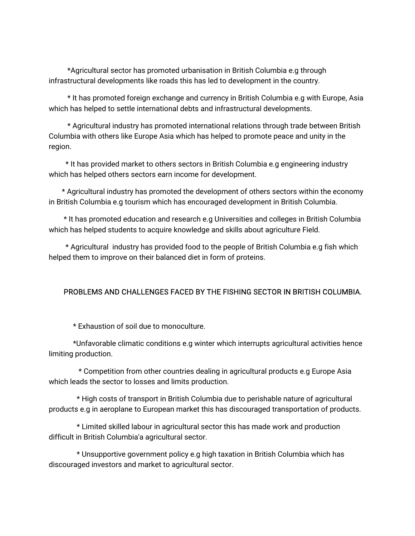\*Agricultural sector has promoted urbanisation in British Columbia e.g through infrastructural developments like roads this has led to development in the country.

\* It has promoted foreign exchange and currency in British Columbia e.g with Europe, Asia which has helped to settle international debts and infrastructural developments.

\* Agricultural industry has promoted international relations through trade between British Columbia with others like Europe Asia which has helped to promote peace and unity in the region.

\* It has provided market to others sectors in British Columbia e.g engineering industry which has helped others sectors earn income for development.

\* Agricultural industry has promoted the development of others sectors within the economy in British Columbia e.g tourism which has encouraged development in British Columbia.

\* It has promoted education and research e.g Universities and colleges in British Columbia which has helped students to acquire knowledge and skills about agriculture Field.

\* Agricultural industry has provided food to the people of British Columbia e.g fish which helped them to improve on their balanced diet in form of proteins.

### PROBLEMS AND CHALLENGES FACED BY THE FISHING SECTOR IN BRITISH COLUMBIA.

\* Exhaustion of soil due to monoculture.

\*Unfavorableclimaticconditionse.gwinterwhichinterruptsagriculturalactivitieshence limiting production.

\* Competition from other countries dealing in agricultural products e.g Europe Asia which leads the sector to losses and limits production.

\* High costs of transport in British Columbia due to perishable nature of agricultural products e.g in aeroplane to European market this has discouraged transportation of products.

\* Limited skilled labour in agricultural sector this has made work and production difficult in British Columbia'a agricultural sector.

\* Unsupportive government policy e.g high taxation in British Columbia which has discouraged investors and market to agricultural sector.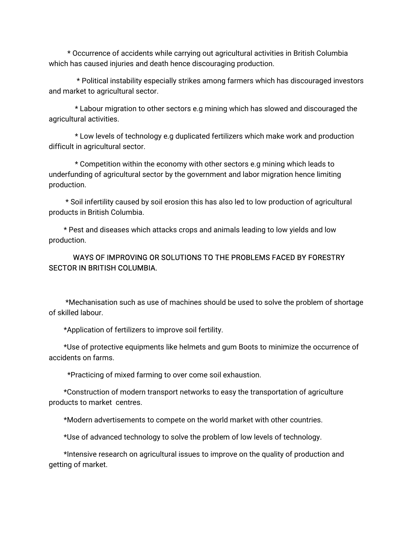\* Occurrence of accidents while carrying out agricultural activities in British Columbia which has caused injuries and death hence discouraging production.

\* Political instability especially strikes among farmers which has discouraged investors and market to agricultural sector.

\* Labour migration to other sectors e.g mining which has slowed and discouraged the agricultural activities.

\* Low levels of technology e.g duplicated fertilizers which make work and production difficult in agricultural sector.

\* Competition within the economy with other sectors e.g mining which leads to underfunding of agricultural sector by the government and labor migration hence limiting production.

\*Soilinfertilitycausedbysoilerosionthishasalsoledtolowproductionofagricultural products in British Columbia.

\* Pest and diseases which attacks crops and animals leading to low yields and low production.

## WAYS OF IMPROVING OR SOLUTIONS TO THE PROBLEMS FACED BY FORESTRY **SECTOR IN BRITISH COLUMBIA.**

\*Mechanisation such as use of machines should be used to solve the problem of shortage ofskilledlabour.

\*Application of fertilizers to improve soil fertility.

\*Use of protective equipments like helmets and gum Boots to minimize the occurrence of accidents on farms.

\*Practicing of mixed farming to over come soil exhaustion.

\*Construction of modern transport networks to easy the transportation of agriculture products to market centres.

\*Modern advertisements to compete on the world market with other countries.

\*Use of advanced technology to solve the problem of low levels of technology.

\*Intensive research on agricultural issues to improve on the quality of production and getting of market.